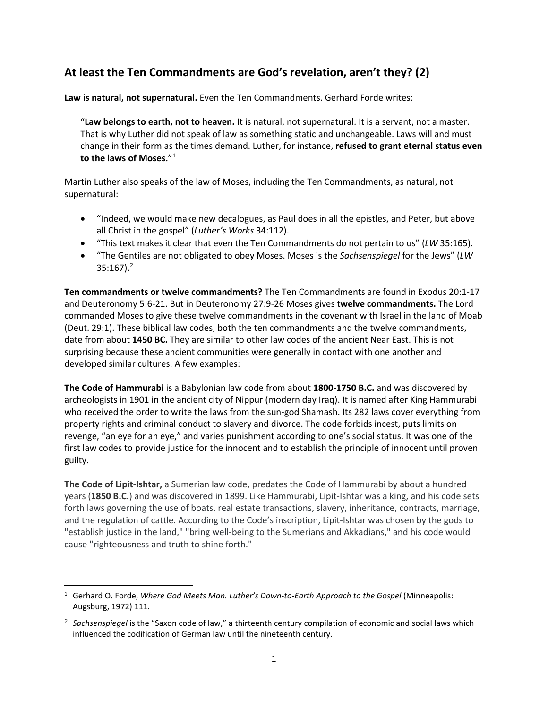## **At least the Ten Commandments are God's revelation, aren't they? (2)**

**Law is natural, not supernatural.** Even the Ten Commandments. Gerhard Forde writes:

"**Law belongs to earth, not to heaven.** It is natural, not supernatural. It is a servant, not a master. That is why Luther did not speak of law as something static and unchangeable. Laws will and must change in their form as the times demand. Luther, for instance, **refused to grant eternal status even to the laws of Moses.**"[1](#page-0-0)

Martin Luther also speaks of the law of Moses, including the Ten Commandments, as natural, not supernatural:

- "Indeed, we would make new decalogues, as Paul does in all the epistles, and Peter, but above all Christ in the gospel" (*Luther's Works* 34:112).
- "This text makes it clear that even the Ten Commandments do not pertain to us" (*LW* 35:165).
- "The Gentiles are not obligated to obey Moses. Moses is the *Sachsenspiegel* for the Jews" (*LW*  $35:167$ ).<sup>2</sup>

**Ten commandments or twelve commandments?** The Ten Commandments are found in Exodus 20:1-17 and Deuteronomy 5:6-21. But in Deuteronomy 27:9-26 Moses gives **twelve commandments.** The Lord commanded Moses to give these twelve commandments in the covenant with Israel in the land of Moab (Deut. 29:1). These biblical law codes, both the ten commandments and the twelve commandments, date from about **1450 BC.** They are similar to other law codes of the ancient Near East. This is not surprising because these ancient communities were generally in contact with one another and developed similar cultures. A few examples:

**The Code of Hammurabi** is a Babylonian law code from about **1800-1750 B.C.** and was discovered by archeologists in 1901 in the ancient city of Nippur (modern day Iraq). It is named after King Hammurabi who received the order to write the laws from the sun-god Shamash. Its 282 laws cover everything from property rights and criminal conduct to slavery and divorce. The code forbids incest, puts limits on revenge, "an eye for an eye," and varies punishment according to one's social status. It was one of the first law codes to provide justice for the innocent and to establish the principle of innocent until proven guilty.

**The Code of Lipit-Ishtar,** a Sumerian law code, predates the Code of Hammurabi by about a hundred years (**1850 B.C.**) and was discovered in 1899. Like Hammurabi, Lipit-Ishtar was a king, and his code sets forth laws governing the use of boats, real estate transactions, slavery, inheritance, contracts, marriage, and the regulation of cattle. According to the Code's inscription, Lipit-Ishtar was chosen by the gods to "establish justice in the land," "bring well-being to the Sumerians and Akkadians," and his code would cause "righteousness and truth to shine forth."

<span id="page-0-0"></span><sup>1</sup> Gerhard O. Forde, *Where God Meets Man. Luther's Down-to-Earth Approach to the Gospel* (Minneapolis: Augsburg, 1972) 111.

<span id="page-0-1"></span><sup>2</sup> *Sachsenspiegel* is the "Saxon code of law," a thirteenth century compilation of economic and social laws which influenced the codification of German law until the nineteenth century.